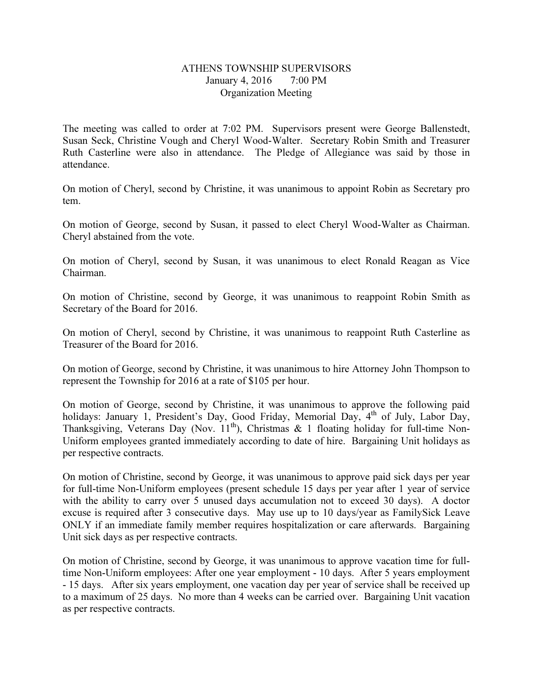## ATHENS TOWNSHIP SUPERVISORS January 4, 2016 7:00 PM Organization Meeting

The meeting was called to order at 7:02 PM. Supervisors present were George Ballenstedt, Susan Seck, Christine Vough and Cheryl Wood-Walter. Secretary Robin Smith and Treasurer Ruth Casterline were also in attendance. The Pledge of Allegiance was said by those in attendance.

On motion of Cheryl, second by Christine, it was unanimous to appoint Robin as Secretary pro tem.

On motion of George, second by Susan, it passed to elect Cheryl Wood-Walter as Chairman. Cheryl abstained from the vote.

On motion of Cheryl, second by Susan, it was unanimous to elect Ronald Reagan as Vice Chairman.

On motion of Christine, second by George, it was unanimous to reappoint Robin Smith as Secretary of the Board for 2016.

On motion of Cheryl, second by Christine, it was unanimous to reappoint Ruth Casterline as Treasurer of the Board for 2016.

On motion of George, second by Christine, it was unanimous to hire Attorney John Thompson to represent the Township for 2016 at a rate of \$105 per hour.

On motion of George, second by Christine, it was unanimous to approve the following paid holidays: January 1, President's Day, Good Friday, Memorial Day,  $4<sup>th</sup>$  of July, Labor Day, Thanksgiving, Veterans Day (Nov.  $11^{th}$ ), Christmas & 1 floating holiday for full-time Non-Uniform employees granted immediately according to date of hire. Bargaining Unit holidays as per respective contracts.

On motion of Christine, second by George, it was unanimous to approve paid sick days per year for full-time Non-Uniform employees (present schedule 15 days per year after 1 year of service with the ability to carry over 5 unused days accumulation not to exceed 30 days). A doctor excuse is required after 3 consecutive days. May use up to 10 days/year as FamilySick Leave ONLY if an immediate family member requires hospitalization or care afterwards. Bargaining Unit sick days as per respective contracts.

On motion of Christine, second by George, it was unanimous to approve vacation time for fulltime Non-Uniform employees: After one year employment - 10 days. After 5 years employment - 15 days. After six years employment, one vacation day per year of service shall be received up to a maximum of 25 days. No more than 4 weeks can be carried over. Bargaining Unit vacation as per respective contracts.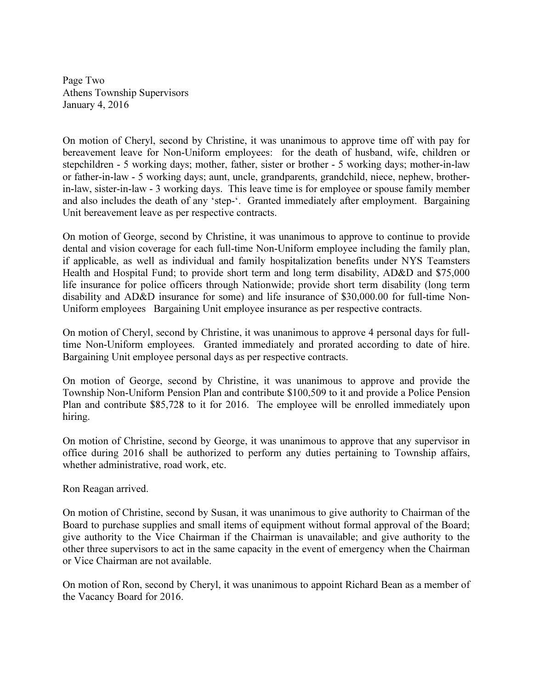Page Two Athens Township Supervisors January 4, 2016

On motion of Cheryl, second by Christine, it was unanimous to approve time off with pay for bereavement leave for Non-Uniform employees: for the death of husband, wife, children or stepchildren - 5 working days; mother, father, sister or brother - 5 working days; mother-in-law or father-in-law - 5 working days; aunt, uncle, grandparents, grandchild, niece, nephew, brotherin-law, sister-in-law - 3 working days. This leave time is for employee or spouse family member and also includes the death of any 'step-'. Granted immediately after employment. Bargaining Unit bereavement leave as per respective contracts.

On motion of George, second by Christine, it was unanimous to approve to continue to provide dental and vision coverage for each full-time Non-Uniform employee including the family plan, if applicable, as well as individual and family hospitalization benefits under NYS Teamsters Health and Hospital Fund; to provide short term and long term disability, AD&D and \$75,000 life insurance for police officers through Nationwide; provide short term disability (long term disability and AD&D insurance for some) and life insurance of \$30,000.00 for full-time Non-Uniform employees Bargaining Unit employee insurance as per respective contracts.

On motion of Cheryl, second by Christine, it was unanimous to approve 4 personal days for fulltime Non-Uniform employees. Granted immediately and prorated according to date of hire. Bargaining Unit employee personal days as per respective contracts.

On motion of George, second by Christine, it was unanimous to approve and provide the Township Non-Uniform Pension Plan and contribute \$100,509 to it and provide a Police Pension Plan and contribute \$85,728 to it for 2016. The employee will be enrolled immediately upon hiring.

On motion of Christine, second by George, it was unanimous to approve that any supervisor in office during 2016 shall be authorized to perform any duties pertaining to Township affairs, whether administrative, road work, etc.

Ron Reagan arrived.

On motion of Christine, second by Susan, it was unanimous to give authority to Chairman of the Board to purchase supplies and small items of equipment without formal approval of the Board; give authority to the Vice Chairman if the Chairman is unavailable; and give authority to the other three supervisors to act in the same capacity in the event of emergency when the Chairman or Vice Chairman are not available.

On motion of Ron, second by Cheryl, it was unanimous to appoint Richard Bean as a member of the Vacancy Board for 2016.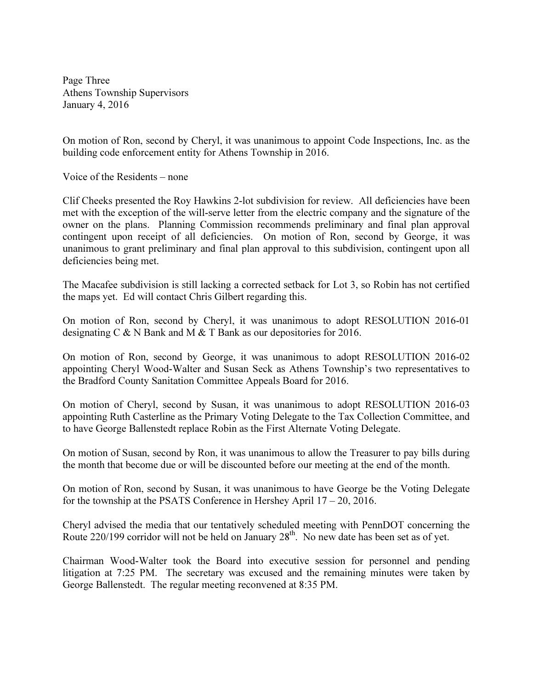Page Three Athens Township Supervisors January 4, 2016

On motion of Ron, second by Cheryl, it was unanimous to appoint Code Inspections, Inc. as the building code enforcement entity for Athens Township in 2016.

Voice of the Residents – none

Clif Cheeks presented the Roy Hawkins 2-lot subdivision for review. All deficiencies have been met with the exception of the will-serve letter from the electric company and the signature of the owner on the plans. Planning Commission recommends preliminary and final plan approval contingent upon receipt of all deficiencies. On motion of Ron, second by George, it was unanimous to grant preliminary and final plan approval to this subdivision, contingent upon all deficiencies being met.

The Macafee subdivision is still lacking a corrected setback for Lot 3, so Robin has not certified the maps yet. Ed will contact Chris Gilbert regarding this.

On motion of Ron, second by Cheryl, it was unanimous to adopt RESOLUTION 2016-01 designating C & N Bank and M & T Bank as our depositories for 2016.

On motion of Ron, second by George, it was unanimous to adopt RESOLUTION 2016-02 appointing Cheryl Wood-Walter and Susan Seck as Athens Township's two representatives to the Bradford County Sanitation Committee Appeals Board for 2016.

On motion of Cheryl, second by Susan, it was unanimous to adopt RESOLUTION 2016-03 appointing Ruth Casterline as the Primary Voting Delegate to the Tax Collection Committee, and to have George Ballenstedt replace Robin as the First Alternate Voting Delegate.

On motion of Susan, second by Ron, it was unanimous to allow the Treasurer to pay bills during the month that become due or will be discounted before our meeting at the end of the month.

On motion of Ron, second by Susan, it was unanimous to have George be the Voting Delegate for the township at the PSATS Conference in Hershey April 17 – 20, 2016.

Cheryl advised the media that our tentatively scheduled meeting with PennDOT concerning the Route  $220/199$  corridor will not be held on January  $28<sup>th</sup>$ . No new date has been set as of yet.

Chairman Wood-Walter took the Board into executive session for personnel and pending litigation at 7:25 PM. The secretary was excused and the remaining minutes were taken by George Ballenstedt. The regular meeting reconvened at 8:35 PM.